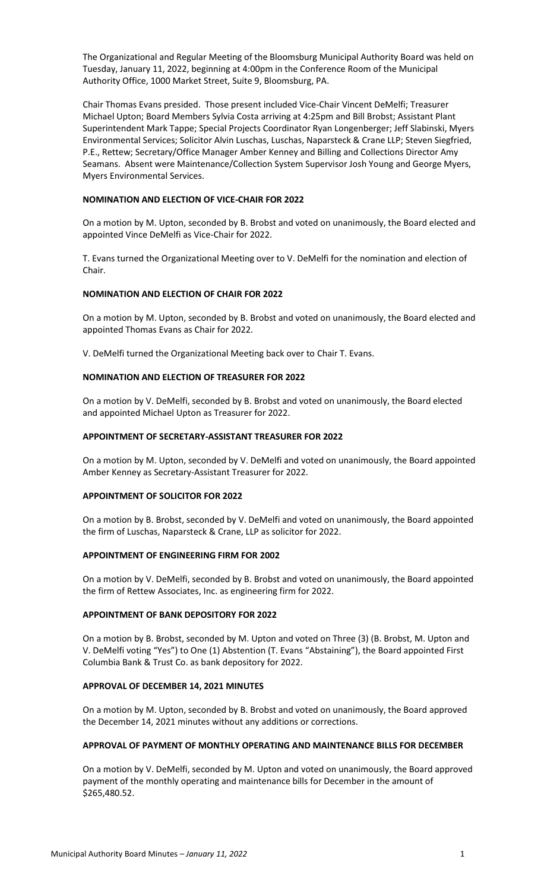The Organizational and Regular Meeting of the Bloomsburg Municipal Authority Board was held on Tuesday, January 11, 2022, beginning at 4:00pm in the Conference Room of the Municipal Authority Office, 1000 Market Street, Suite 9, Bloomsburg, PA.

Chair Thomas Evans presided. Those present included Vice-Chair Vincent DeMelfi; Treasurer Michael Upton; Board Members Sylvia Costa arriving at 4:25pm and Bill Brobst; Assistant Plant Superintendent Mark Tappe; Special Projects Coordinator Ryan Longenberger; Jeff Slabinski, Myers Environmental Services; Solicitor Alvin Luschas, Luschas, Naparsteck & Crane LLP; Steven Siegfried, P.E., Rettew; Secretary/Office Manager Amber Kenney and Billing and Collections Director Amy Seamans. Absent were Maintenance/Collection System Supervisor Josh Young and George Myers, Myers Environmental Services.

## **NOMINATION AND ELECTION OF VICE-CHAIR FOR 2022**

On a motion by M. Upton, seconded by B. Brobst and voted on unanimously, the Board elected and appointed Vince DeMelfi as Vice-Chair for 2022.

T. Evans turned the Organizational Meeting over to V. DeMelfi for the nomination and election of Chair.

# **NOMINATION AND ELECTION OF CHAIR FOR 2022**

On a motion by M. Upton, seconded by B. Brobst and voted on unanimously, the Board elected and appointed Thomas Evans as Chair for 2022.

V. DeMelfi turned the Organizational Meeting back over to Chair T. Evans.

## **NOMINATION AND ELECTION OF TREASURER FOR 2022**

On a motion by V. DeMelfi, seconded by B. Brobst and voted on unanimously, the Board elected and appointed Michael Upton as Treasurer for 2022.

## **APPOINTMENT OF SECRETARY-ASSISTANT TREASURER FOR 2022**

On a motion by M. Upton, seconded by V. DeMelfi and voted on unanimously, the Board appointed Amber Kenney as Secretary-Assistant Treasurer for 2022.

## **APPOINTMENT OF SOLICITOR FOR 2022**

On a motion by B. Brobst, seconded by V. DeMelfi and voted on unanimously, the Board appointed the firm of Luschas, Naparsteck & Crane, LLP as solicitor for 2022.

## **APPOINTMENT OF ENGINEERING FIRM FOR 2002**

On a motion by V. DeMelfi, seconded by B. Brobst and voted on unanimously, the Board appointed the firm of Rettew Associates, Inc. as engineering firm for 2022.

## **APPOINTMENT OF BANK DEPOSITORY FOR 2022**

On a motion by B. Brobst, seconded by M. Upton and voted on Three (3) (B. Brobst, M. Upton and V. DeMelfi voting "Yes") to One (1) Abstention (T. Evans "Abstaining"), the Board appointed First Columbia Bank & Trust Co. as bank depository for 2022.

## **APPROVAL OF DECEMBER 14, 2021 MINUTES**

On a motion by M. Upton, seconded by B. Brobst and voted on unanimously, the Board approved the December 14, 2021 minutes without any additions or corrections.

## **APPROVAL OF PAYMENT OF MONTHLY OPERATING AND MAINTENANCE BILLS FOR DECEMBER**

On a motion by V. DeMelfi, seconded by M. Upton and voted on unanimously, the Board approved payment of the monthly operating and maintenance bills for December in the amount of \$265,480.52.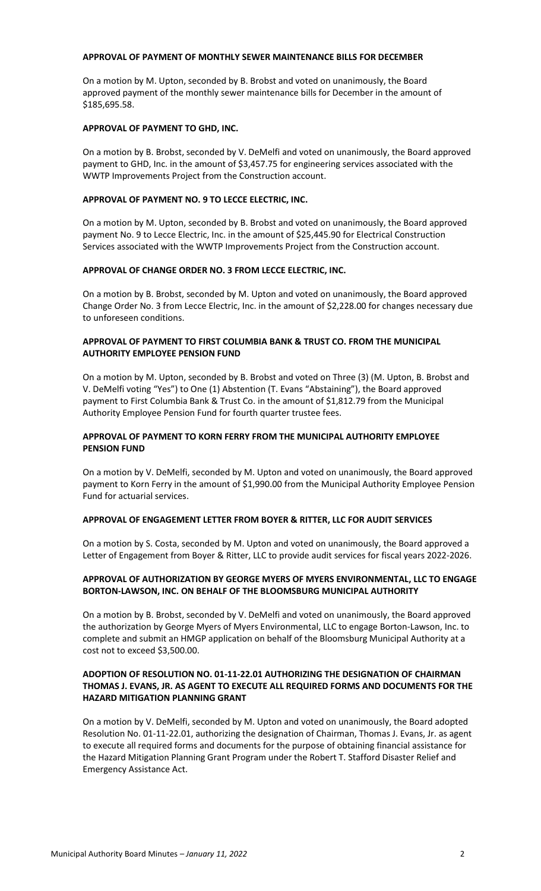#### **APPROVAL OF PAYMENT OF MONTHLY SEWER MAINTENANCE BILLS FOR DECEMBER**

On a motion by M. Upton, seconded by B. Brobst and voted on unanimously, the Board approved payment of the monthly sewer maintenance bills for December in the amount of \$185,695.58.

### **APPROVAL OF PAYMENT TO GHD, INC.**

On a motion by B. Brobst, seconded by V. DeMelfi and voted on unanimously, the Board approved payment to GHD, Inc. in the amount of \$3,457.75 for engineering services associated with the WWTP Improvements Project from the Construction account.

### **APPROVAL OF PAYMENT NO. 9 TO LECCE ELECTRIC, INC.**

On a motion by M. Upton, seconded by B. Brobst and voted on unanimously, the Board approved payment No. 9 to Lecce Electric, Inc. in the amount of \$25,445.90 for Electrical Construction Services associated with the WWTP Improvements Project from the Construction account.

## **APPROVAL OF CHANGE ORDER NO. 3 FROM LECCE ELECTRIC, INC.**

On a motion by B. Brobst, seconded by M. Upton and voted on unanimously, the Board approved Change Order No. 3 from Lecce Electric, Inc. in the amount of \$2,228.00 for changes necessary due to unforeseen conditions.

## **APPROVAL OF PAYMENT TO FIRST COLUMBIA BANK & TRUST CO. FROM THE MUNICIPAL AUTHORITY EMPLOYEE PENSION FUND**

On a motion by M. Upton, seconded by B. Brobst and voted on Three (3) (M. Upton, B. Brobst and V. DeMelfi voting "Yes") to One (1) Abstention (T. Evans "Abstaining"), the Board approved payment to First Columbia Bank & Trust Co. in the amount of \$1,812.79 from the Municipal Authority Employee Pension Fund for fourth quarter trustee fees.

## **APPROVAL OF PAYMENT TO KORN FERRY FROM THE MUNICIPAL AUTHORITY EMPLOYEE PENSION FUND**

On a motion by V. DeMelfi, seconded by M. Upton and voted on unanimously, the Board approved payment to Korn Ferry in the amount of \$1,990.00 from the Municipal Authority Employee Pension Fund for actuarial services.

## **APPROVAL OF ENGAGEMENT LETTER FROM BOYER & RITTER, LLC FOR AUDIT SERVICES**

On a motion by S. Costa, seconded by M. Upton and voted on unanimously, the Board approved a Letter of Engagement from Boyer & Ritter, LLC to provide audit services for fiscal years 2022-2026.

## **APPROVAL OF AUTHORIZATION BY GEORGE MYERS OF MYERS ENVIRONMENTAL, LLC TO ENGAGE BORTON-LAWSON, INC. ON BEHALF OF THE BLOOMSBURG MUNICIPAL AUTHORITY**

On a motion by B. Brobst, seconded by V. DeMelfi and voted on unanimously, the Board approved the authorization by George Myers of Myers Environmental, LLC to engage Borton-Lawson, Inc. to complete and submit an HMGP application on behalf of the Bloomsburg Municipal Authority at a cost not to exceed \$3,500.00.

## **ADOPTION OF RESOLUTION NO. 01-11-22.01 AUTHORIZING THE DESIGNATION OF CHAIRMAN THOMAS J. EVANS, JR. AS AGENT TO EXECUTE ALL REQUIRED FORMS AND DOCUMENTS FOR THE HAZARD MITIGATION PLANNING GRANT**

On a motion by V. DeMelfi, seconded by M. Upton and voted on unanimously, the Board adopted Resolution No. 01-11-22.01, authorizing the designation of Chairman, Thomas J. Evans, Jr. as agent to execute all required forms and documents for the purpose of obtaining financial assistance for the Hazard Mitigation Planning Grant Program under the Robert T. Stafford Disaster Relief and Emergency Assistance Act.